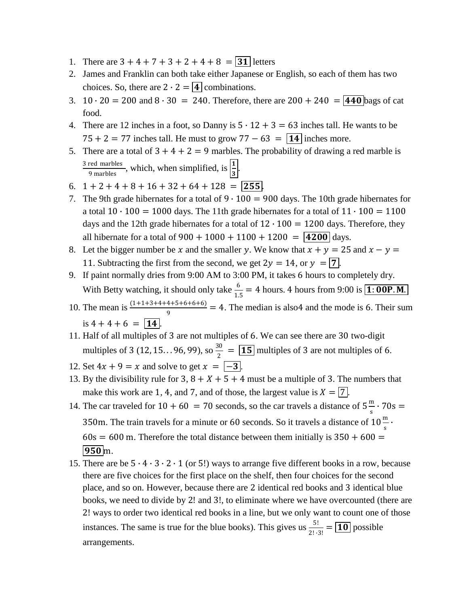- 1. There are  $3 + 4 + 7 + 3 + 2 + 4 + 8 = 31$  letters
- 2. James and Franklin can both take either Japanese or English, so each of them has two choices. So, there are  $2 \cdot 2 = \boxed{4}$  combinations.
- 3. 10 ⋅ 20 = 200 and  $8 \cdot 30 = 240$ . Therefore, there are  $200 + 240 = 440$  bags of cat food.
- 4. There are 12 inches in a foot, so Danny is  $5 \cdot 12 + 3 = 63$  inches tall. He wants to be  $75 + 2 = 77$  inches tall. He must to grow  $77 - 63 = 14$  inches more.
- 5. There are a total of  $3 + 4 + 2 = 9$  marbles. The probability of drawing a red marble is 3 red marbles  $\frac{1}{9}$  marbles marbles, which, when simplified, is  $\left| \frac{1}{3} \right|$ .
- 6.  $1 + 2 + 4 + 8 + 16 + 32 + 64 + 128 = |255|$ .
- 7. The 9th grade hibernates for a total of  $9 \cdot 100 = 900$  days. The 10th grade hibernates for a total  $10 \cdot 100 = 1000$  days. The 11th grade hibernates for a total of  $11 \cdot 100 = 1100$ days and the 12th grade hibernates for a total of  $12 \cdot 100 = 1200$  days. Therefore, they all hibernate for a total of  $900 + 1000 + 1100 + 1200 = 4200$  days.
- 8. Let the bigger number be x and the smaller y. We know that  $x + y = 25$  and  $x y = 8$ . 11. Subtracting the first from the second, we get  $2y = 14$ , or  $y = 7$ .
- 9. If paint normally dries from 9:00 AM to 3:00 PM, it takes 6 hours to completely dry. With Betty watching, it should only take  $\frac{6}{1.5} = 4$  hours. 4 hours from 9:00 is  $\boxed{1:00P.M.}$
- 10. The mean is  $\frac{(1+1+3+4+4+5+6+6)}{9}$  = 4. The median is also4 and the mode is 6. Their sum is  $4 + 4 + 6 = 14$ .
- 11. Half of all multiples of 3 are not multiples of 6. We can see there are 30 two-digit multiples of 3 (12, 15... 96, 99), so  $\frac{30}{3}$  $\frac{30}{2}$  =  $\boxed{15}$  multiples of 3 are not multiples of 6.
- 12. Set  $4x + 9 = x$  and solve to get  $x = \boxed{-3}$ .
- 13. By the divisibility rule for 3,  $8 + X + 5 + 4$  must be a multiple of 3. The numbers that make this work are 1, 4, and 7, and of those, the largest value is  $X = \boxed{7}$ .
- 14. The car traveled for  $10 + 60 = 70$  seconds, so the car travels a distance of  $5\frac{\text{m}}{2}$  $\frac{\pi}{s}$  · 70s = 350m. The train travels for a minute or 60 seconds. So it travels a distance of  $10 \frac{\text{m}}{\text{s}} \cdot$  $60s = 600$  m. Therefore the total distance between them initially is  $350 + 600 =$  $950$  m.
- 15. There are be 5 ∙ 4 ∙ 3 ∙ 2 ∙ 1 (or 5!) ways to arrange five different books in a row, because there are five choices for the first place on the shelf, then four choices for the second place, and so on. However, because there are 2 identical red books and 3 identical blue books, we need to divide by 2! and 3!, to eliminate where we have overcounted (there are 2! ways to order two identical red books in a line, but we only want to count one of those instances. The same is true for the blue books). This gives us  $\frac{5!}{2! \cdot 3!} = \boxed{10}$  possible arrangements.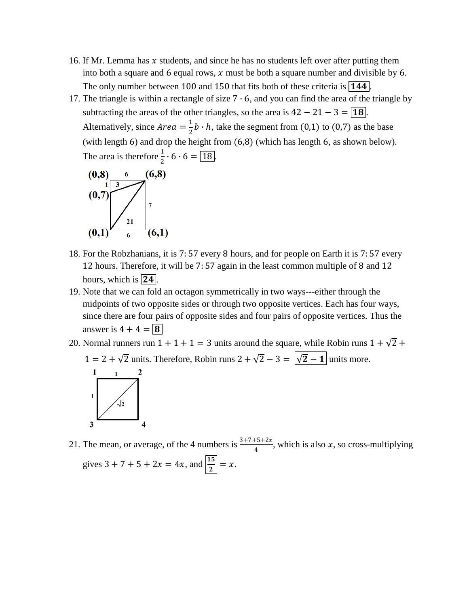- 16. If Mr. Lemma has  $x$  students, and since he has no students left over after putting them into both a square and 6 equal rows,  $x$  must be both a square number and divisible by 6. The only number between 100 and 150 that fits both of these criteria is  $\boxed{144}$ .
- 17. The triangle is within a rectangle of size  $7 \cdot 6$ , and you can find the area of the triangle by subtracting the areas of the other triangles, so the area is  $42 - 21 - 3 = \boxed{18}$ . Alternatively, since  $Area = \frac{1}{2}$  $\frac{1}{2}b \cdot h$ , take the segment from (0,1) to (0,7) as the base (with length 6) and drop the height from (6,8) (which has length 6, as shown below). The area is therefore  $\frac{1}{2} \cdot 6 \cdot 6 = \boxed{18}$ .



- 18. For the Robzhanians, it is 7: 57 every 8 hours, and for people on Earth it is 7: 57 every 12 hours. Therefore, it will be 7: 57 again in the least common multiple of 8 and 12 hours, which is  $\boxed{24}$ .
- 19. Note that we can fold an octagon symmetrically in two ways---either through the midpoints of two opposite sides or through two opposite vertices. Each has four ways, since there are four pairs of opposite sides and four pairs of opposite vertices. Thus the answer is  $4 + 4 = 8$
- 20. Normal runners run  $1 + 1 + 1 = 3$  units around the square, while Robin runs  $1 + \sqrt{2} +$  $1 = 2 + \sqrt{2}$  units. Therefore, Robin runs  $2 + \sqrt{2} - 3 = \sqrt{2} - 1$  units more.



21. The mean, or average, of the 4 numbers is  $\frac{3+7+5+2x}{4}$ , which is also x, so cross-multiplying gives  $3 + 7 + 5 + 2x = 4x$ , and  $\left| \frac{15}{2} \right| = x$ .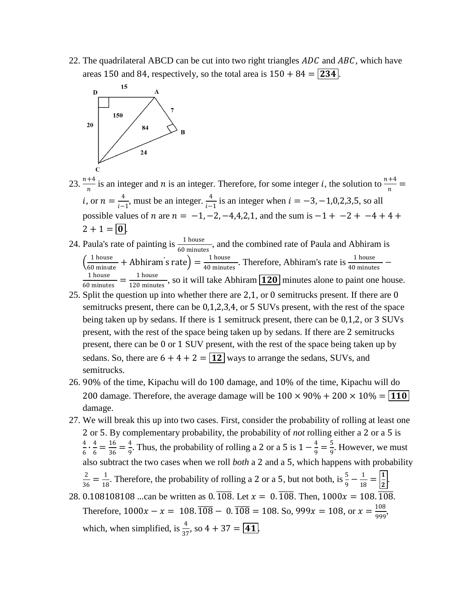22. The quadrilateral ABCD can be cut into two right triangles  $ADC$  and  $ABC$ , which have areas 150 and 84, respectively, so the total area is  $150 + 84 = 234$ .



- 23.  $\frac{n+4}{n}$  is an integer and *n* is an integer. Therefore, for some integer *i*, the solution to  $\frac{n+4}{n}$  = *i*, or  $n = \frac{4}{5}$  $\frac{4}{i-1}$ , must be an integer.  $\frac{4}{i-1}$  is an integer when  $i = -3, -1, 0, 2, 3, 5$ , so all possible values of *n* are  $n = -1, -2, -4, 4, 2, 1$ , and the sum is  $-1 + -2 + -4 + 4 +$  $2 + 1 = |0|$
- 24. Paula's rate of painting is  $\frac{1 \text{ house}}{60 \text{ minutes}}$ , and the combined rate of Paula and Abhiram is  $\left(\frac{1 \text{ house}}{60 \text{ minute}}\right)$  $\frac{1 \text{ house}}{60 \text{ minute}}$  + Abhiram's rate) =  $\frac{1 \text{ house}}{40 \text{ minute}}$  $\frac{1 \text{ house}}{40 \text{ minutes}}$ . Therefore, Abhiram's rate is  $\frac{1 \text{ house}}{40 \text{ minutes}}$  – 1 house  $\frac{1 \text{ house}}{60 \text{ minutes}} = \frac{1 \text{ house}}{120 \text{ minute}}$  $\frac{11000}{120}$  minutes, so it will take Abhiram  $\boxed{120}$  minutes alone to paint one house.
- 25. Split the question up into whether there are 2,1, or 0 semitrucks present. If there are 0 semitrucks present, there can be 0,1,2,3,4, or 5 SUVs present, with the rest of the space being taken up by sedans. If there is 1 semitruck present, there can be 0,1,2, or 3 SUVs present, with the rest of the space being taken up by sedans. If there are 2 semitrucks present, there can be 0 or 1 SUV present, with the rest of the space being taken up by sedans. So, there are  $6 + 4 + 2 = 12$  ways to arrange the sedans, SUVs, and semitrucks.
- 26. 90% of the time, Kipachu will do 100 damage, and 10% of the time, Kipachu will do 200 damage. Therefore, the average damage will be  $100 \times 90\% + 200 \times 10\% = 110$ damage.
- 27. We will break this up into two cases. First, consider the probability of rolling at least one 2 or 5. By complementary probability, the probability of *not* rolling either a 2 or a 5 is 4  $\frac{4}{6} \cdot \frac{4}{6}$  $\frac{4}{6} = \frac{16}{36}$  $\frac{16}{36} = \frac{4}{9}$  $\frac{4}{9}$ . Thus, the probability of rolling a 2 or a 5 is  $1-\frac{4}{9}$  $\frac{4}{9} = \frac{5}{9}$  $\frac{3}{9}$ . However, we must also subtract the two cases when we roll *both* a 2 and a 5, which happens with probability 2  $\frac{2}{36} = \frac{1}{18}$  $\frac{1}{18}$ . Therefore, the probability of rolling a 2 or a 5, but not both, is  $\frac{5}{9} - \frac{1}{18}$  $\frac{1}{18} = \left| \frac{1}{2} \right|$  $\frac{1}{2}$ . 28. 0.108108108 ...can be written as 0.  $\overline{108}$ . Let  $x = 0.\overline{108}$ . Then,  $1000x = 108.\overline{108}$ .
- Therefore,  $1000x x = 108.\overline{108} 0.\overline{108} = 108.$  So,  $999x = 108$ , or  $x = \frac{108}{000}$  $\frac{100}{999}$ which, when simplified, is  $\frac{4}{37}$ , so  $4 + 37 = \boxed{41}$ .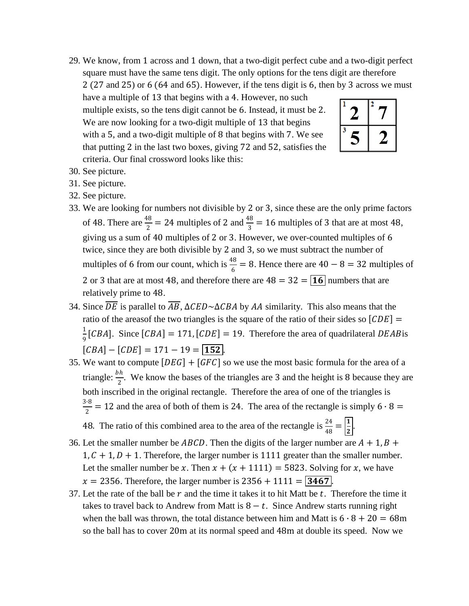29. We know, from 1 across and 1 down, that a two-digit perfect cube and a two-digit perfect square must have the same tens digit. The only options for the tens digit are therefore

2 (27 and 25) or 6 (64 and 65). However, if the tens digit is 6, then by 3 across we must

have a multiple of 13 that begins with a 4. However, no such multiple exists, so the tens digit cannot be 6. Instead, it must be 2. We are now looking for a two-digit multiple of 13 that begins with a 5, and a two-digit multiple of 8 that begins with 7. We see that putting 2 in the last two boxes, giving 72 and 52, satisfies the criteria. Our final crossword looks like this:



- 30. See picture.
- 31. See picture.
- 32. See picture.
- 33. We are looking for numbers not divisible by 2 or 3, since these are the only prime factors of 48. There are  $\frac{48}{2}$  = 24 multiples of 2 and  $\frac{48}{3}$  = 16 multiples of 3 that are at most 48, giving us a sum of 40 multiples of 2 or 3. However, we over-counted multiples of 6 twice, since they are both divisible by 2 and 3, so we must subtract the number of multiples of 6 from our count, which is  $\frac{48}{6} = 8$ . Hence there are  $40 - 8 = 32$  multiples of 2 or 3 that are at most 48, and therefore there are  $48 = 32 = 16$  numbers that are relatively prime to 48.
- 34. Since  $\overline{DE}$  is parallel to  $\overline{AB}$ ,  $\Delta CED \sim \Delta CBA$  by AA similarity. This also means that the ratio of the areasof the two triangles is the square of the ratio of their sides so  $[CDE] =$ 1  $\frac{1}{9}$ [CBA]. Since [CBA] = 171, [CDE] = 19. Therefore the area of quadrilateral DEAB is  $[CBA] - [CDE] = 171 - 19 = 152$ .
- 35. We want to compute  $[DEG] + [GFC]$  so we use the most basic formula for the area of a triangle:  $\frac{bh}{2}$ . We know the bases of the triangles are 3 and the height is 8 because they are both inscribed in the original rectangle. Therefore the area of one of the triangles is 3∙8  $\frac{12}{2}$  = 12 and the area of both of them is 24. The area of the rectangle is simply 6  $\cdot$  8 =
	- 48. The ratio of this combined area to the area of the rectangle is  $\frac{24}{48} = \left| \frac{1}{2} \right|$  $\frac{1}{2}$ .
- 36. Let the smaller number be *ABCD*. Then the digits of the larger number are  $A + 1$ ,  $B +$  $1, C + 1, D + 1$ . Therefore, the larger number is 1111 greater than the smaller number. Let the smaller number be x. Then  $x + (x + 1111) = 5823$ . Solving for x, we have  $x = 2356$ . Therefore, the larger number is  $2356 + 1111 = |3467|$ .
- 37. Let the rate of the ball be  $r$  and the time it takes it to hit Matt be  $t$ . Therefore the time it takes to travel back to Andrew from Matt is  $8 - t$ . Since Andrew starts running right when the ball was thrown, the total distance between him and Matt is  $6 \cdot 8 + 20 = 68$ m so the ball has to cover 20m at its normal speed and 48m at double its speed. Now we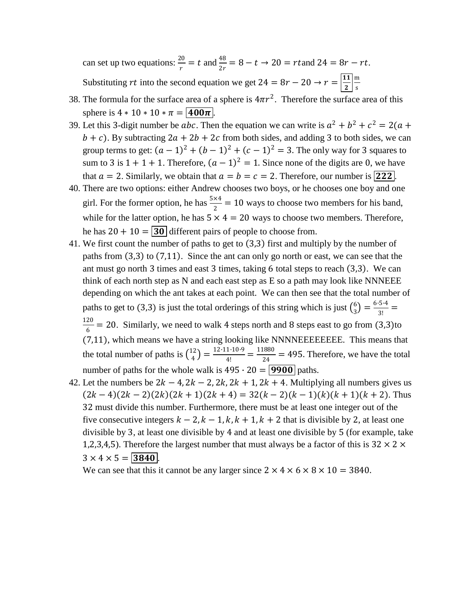can set up two equations:  $\frac{20}{r} = t$  and  $\frac{48}{2r} = 8 - t \rightarrow 20 = rt$  and  $24 = 8r - rt$ . Substituting rt into the second equation we get  $24 = 8r - 20 \rightarrow r = \frac{11}{3}$ 2 m s

- 38. The formula for the surface area of a sphere is  $4\pi r^2$ . Therefore the surface area of this sphere is  $4 * 10 * 10 * \pi = |400\pi|$ .
- 39. Let this 3-digit number be *abc*. Then the equation we can write is  $a^2 + b^2 + c^2 = 2(a + b^2 + c^2)$  $b + c$ ). By subtracting  $2a + 2b + 2c$  from both sides, and adding 3 to both sides, we can group terms to get:  $(a-1)^2 + (b-1)^2 + (c-1)^2 = 3$ . The only way for 3 squares to sum to 3 is  $1 + 1 + 1$ . Therefore,  $(a - 1)^2 = 1$ . Since none of the digits are 0, we have that  $a = 2$ . Similarly, we obtain that  $a = b = c = 2$ . Therefore, our number is **222**.
- 40. There are two options: either Andrew chooses two boys, or he chooses one boy and one girl. For the former option, he has  $\frac{5 \times 4}{2} = 10$  ways to choose two members for his band, while for the latter option, he has  $5 \times 4 = 20$  ways to choose two members. Therefore, he has  $20 + 10 = 30$  different pairs of people to choose from.
- 41. We first count the number of paths to get to  $(3,3)$  first and multiply by the number of paths from  $(3,3)$  to  $(7,11)$ . Since the ant can only go north or east, we can see that the ant must go north 3 times and east 3 times, taking 6 total steps to reach  $(3,3)$ . We can think of each north step as N and each east step as  $E$  so a path may look like NNNEEE depending on which the ant takes at each point. We can then see that the total number of paths to get to (3,3) is just the total orderings of this string which is just  $\binom{6}{2}$  $\binom{6}{3} = \frac{6 \cdot 5 \cdot 4}{3!}$  $\frac{3^{14}}{3!}$  = 120  $\frac{20}{6}$  = 20. Similarly, we need to walk 4 steps north and 8 steps east to go from (3,3)to (7,11), which means we have a string looking like NNNNEEEEEEEE. This means that the total number of paths is  $\binom{12}{4}$  $\binom{12}{4} = \frac{12 \cdot 11 \cdot 10 \cdot 9}{4!}$  $\frac{1 \cdot 10 \cdot 9}{4!} = \frac{11880}{24}$  $\frac{1000}{24}$  = 495. Therefore, we have the total number of paths for the whole walk is  $495 \cdot 20 = 9900$  paths.
- 42. Let the numbers be  $2k 4$ ,  $2k 2$ ,  $2k$ ,  $2k + 1$ ,  $2k + 4$ . Multiplying all numbers gives us  $(2k-4)(2k-2)(2k)(2k+1)(2k+4) = 32(k-2)(k-1)(k)(k+1)(k+2)$ . Thus 32 must divide this number. Furthermore, there must be at least one integer out of the five consecutive integers  $k - 2$ ,  $k - 1$ ,  $k$ ,  $k + 1$ ,  $k + 2$  that is divisible by 2, at least one divisible by 3, at least one divisible by 4 and at least one divisible by 5 (for example, take 1,2,3,4,5). Therefore the largest number that must always be a factor of this is  $32 \times 2 \times$  $3 \times 4 \times 5 = 3840$ .

We can see that this it cannot be any larger since  $2 \times 4 \times 6 \times 8 \times 10 = 3840$ .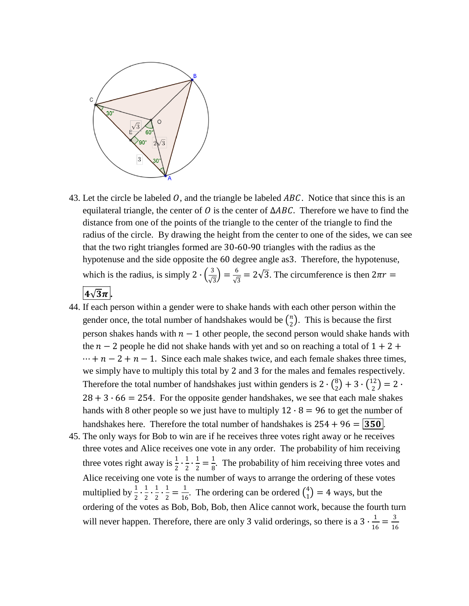

43. Let the circle be labeled  $O$ , and the triangle be labeled  $ABC$ . Notice that since this is an equilateral triangle, the center of  $O$  is the center of  $\triangle ABC$ . Therefore we have to find the distance from one of the points of the triangle to the center of the triangle to find the radius of the circle. By drawing the height from the center to one of the sides, we can see that the two right triangles formed are 30-60-90 triangles with the radius as the hypotenuse and the side opposite the 60 degree angle as3. Therefore, the hypotenuse, which is the radius, is simply 2  $\cdot \left(\frac{3}{5}\right)$  $\frac{3}{\sqrt{3}}$  =  $\frac{6}{\sqrt{3}}$  $\frac{6}{\sqrt{3}} = 2\sqrt{3}$ . The circumference is then  $2\pi r =$ 

## $4\sqrt{3}\pi$ .

- 44. If each person within a gender were to shake hands with each other person within the gender once, the total number of handshakes would be  $\binom{n}{2}$  $n<sub>2</sub>$ ). This is because the first person shakes hands with  $n - 1$  other people, the second person would shake hands with the  $n - 2$  people he did not shake hands with yet and so on reaching a total of  $1 + 2 +$  $\cdots + n - 2 + n - 1$ . Since each male shakes twice, and each female shakes three times, we simply have to multiply this total by 2 and 3 for the males and females respectively. Therefore the total number of handshakes just within genders is  $2 \cdot {8 \choose 2}$  ${8 \choose 2} + 3 \cdot {12 \choose 2}$  $\binom{12}{2} = 2 \cdot$  $28 + 3 \cdot 66 = 254$ . For the opposite gender handshakes, we see that each male shakes hands with 8 other people so we just have to multiply  $12 \cdot 8 = 96$  to get the number of handshakes here. Therefore the total number of handshakes is  $254 + 96 = 350$ .
- 45. The only ways for Bob to win are if he receives three votes right away or he receives three votes and Alice receives one vote in any order. The probability of him receiving three votes right away is  $\frac{1}{2} \cdot \frac{1}{2}$  $\frac{1}{2} \cdot \frac{1}{2}$  $\frac{1}{2} = \frac{1}{8}$  $\frac{1}{8}$ . The probability of him receiving three votes and Alice receiving one vote is the number of ways to arrange the ordering of these votes multiplied by  $\frac{1}{2} \cdot \frac{1}{2}$  $\frac{1}{2} \cdot \frac{1}{2}$  $\frac{1}{2} \cdot \frac{1}{2}$  $\frac{1}{2} = \frac{1}{16}$  $\frac{1}{16}$ . The ordering can be ordered  $\binom{4}{1}$  $\binom{4}{1}$  = 4 ways, but the ordering of the votes as Bob, Bob, Bob, then Alice cannot work, because the fourth turn will never happen. Therefore, there are only 3 valid orderings, so there is a  $3 \cdot \frac{1}{10}$  $\frac{1}{16} = \frac{3}{16}$ 16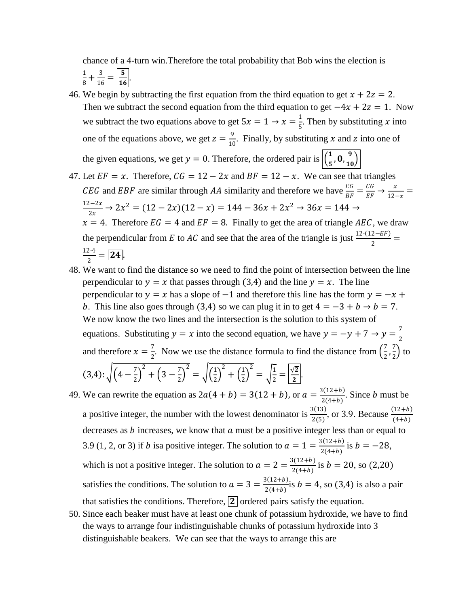chance of a 4-turn win.Therefore the total probability that Bob wins the election is 1  $\frac{1}{8} + \frac{3}{16}$  $\frac{3}{16} = \left| \frac{5}{16} \right|$  $\frac{3}{16}$ 

- 46. We begin by subtracting the first equation from the third equation to get  $x + 2z = 2$ . Then we subtract the second equation from the third equation to get  $-4x + 2z = 1$ . Now we subtract the two equations above to get  $5x = 1 \rightarrow x = \frac{1}{5}$  $\frac{1}{5}$ . Then by substituting *x* into one of the equations above, we get  $z = \frac{9}{10}$  $\frac{9}{10}$ . Finally, by substituting x and z into one of the given equations, we get  $y = 0$ . Therefore, the ordered pair is  $\left| \frac{1}{x} \right|$  $\frac{1}{5}$ , 0,  $\frac{9}{10}$  $\frac{1}{10}$
- 47. Let  $EF = x$ . Therefore,  $CG = 12 2x$  and  $BF = 12 x$ . We can see that triangles *CEG* and *EBF* are similar through *AA* similarity and therefore we have  $\frac{EG}{BF} = \frac{CG}{EF}$  $rac{CG}{EF} \rightarrow \frac{x}{12}$  $\frac{x}{12-x} =$  $12-2x$  $\frac{2+2x}{2x}$  → 2 $x^2 = (12-2x)(12-x) = 144-36x+2x^2 \rightarrow 36x = 144$  →  $x = 4$ . Therefore  $EG = 4$  and  $EF = 8$ . Finally to get the area of triangle AEC, we draw the perpendicular from E to AC and see that the area of the triangle is just  $\frac{12 \cdot (12 - EF)}{2}$ 12∙4  $\frac{2^{2}}{2} = 24.$
- 48. We want to find the distance so we need to find the point of intersection between the line perpendicular to  $y = x$  that passes through (3,4) and the line  $y = x$ . The line perpendicular to  $y = x$  has a slope of  $-1$  and therefore this line has the form  $y = -x +$ b. This line also goes through (3,4) so we can plug it in to get  $4 = -3 + b \rightarrow b = 7$ . We now know the two lines and the intersection is the solution to this system of equations. Substituting  $y = x$  into the second equation, we have  $y = -y + 7 \rightarrow y = \frac{7}{3}$ 2 and therefore  $x = \frac{7}{3}$  $\frac{7}{2}$ . Now we use the distance formula to find the distance from  $\left(\frac{7}{2}\right)$  $\frac{7}{2}$ ,  $\frac{7}{2}$  $\frac{7}{2}$  to  $(3,4)$ :  $\sqrt{(4-\frac{7}{3})}$  $\left(\frac{7}{2}\right)^2 + \left(3 - \frac{7}{2}\right)$  $\left(\frac{7}{2}\right)^2 = \sqrt{\left(\frac{1}{2}\right)^2}$  $\left(\frac{1}{2}\right)^2 + \left(\frac{1}{2}\right)$  $\frac{1}{2}$  $\sqrt{\frac{1}{2}}$  $\frac{1}{2} = \left| \frac{\sqrt{2}}{2} \right|$  $\frac{12}{2}$ .
- 49. We can rewrite the equation as  $2a(4 + b) = 3(12 + b)$ , or  $a = \frac{3(12 + b)}{2(4+b)}$  $\frac{2(12+b)}{2(4+b)}$ . Since *b* must be a positive integer, the number with the lowest denominator is  $\frac{3(13)}{2(5)}$ , or 3.9. Because  $\frac{(12+b)}{(4+b)}$ decreases as  $b$  increases, we know that  $a$  must be a positive integer less than or equal to 3.9 (1, 2, or 3) if *b* is a positive integer. The solution to  $a = 1 = \frac{3(12+b)}{2(4+b)}$  $\frac{b(12+b)}{2(4+b)}$  is  $b = -28$ , which is not a positive integer. The solution to  $a = 2 = \frac{3(12+b)}{2(4+b)}$  $\frac{b(12+b)}{2(4+b)}$  is  $b = 20$ , so (2,20) satisfies the conditions. The solution to  $a = 3 = \frac{3(12+b)}{3(4+b)}$  $\frac{D(12+6)}{2(4+b)}$ is  $b = 4$ , so (3,4) is also a pair that satisfies the conditions. Therefore,  $\boxed{2}$  ordered pairs satisfy the equation.
- 50. Since each beaker must have at least one chunk of potassium hydroxide, we have to find the ways to arrange four indistinguishable chunks of potassium hydroxide into 3 distinguishable beakers. We can see that the ways to arrange this are